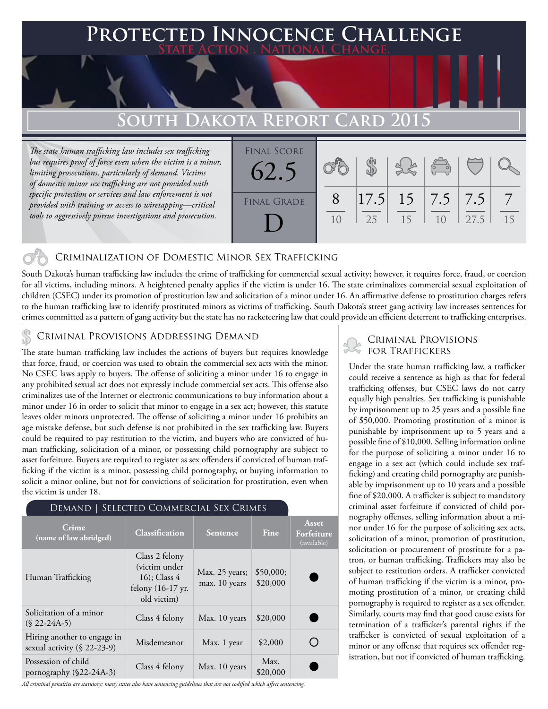## **Protected Innocence Challenge State Action . National Change.**

# **South Dakota Report Card 2015**

*The state human trafficking law includes sex trafficking but requires proof of force even when the victim is a minor, limiting prosecutions, particularly of demand. Victims of domestic minor sex trafficking are not provided with specific protection or services and law enforcement is not provided with training or access to wiretapping—critical tools to aggressively pursue investigations and prosecution.*



## Criminalization of Domestic Minor Sex Trafficking

South Dakota's human trafficking law includes the crime of trafficking for commercial sexual activity; however, it requires force, fraud, or coercion for all victims, including minors. A heightened penalty applies if the victim is under 16. The state criminalizes commercial sexual exploitation of children (CSEC) under its promotion of prostitution law and solicitation of a minor under 16. An affirmative defense to prostitution charges refers to the human trafficking law to identify prostituted minors as victims of trafficking. South Dakota's street gang activity law increases sentences for crimes committed as a pattern of gang activity but the state has no racketeering law that could provide an efficient deterrent to trafficking enterprises.

\$20,000

## Criminal Provisions Addressing Demand

The state human trafficking law includes the actions of buyers but requires knowledge that force, fraud, or coercion was used to obtain the commercial sex acts with the minor. No CSEC laws apply to buyers. The offense of soliciting a minor under 16 to engage in any prohibited sexual act does not expressly include commercial sex acts. This offense also criminalizes use of the Internet or electronic communications to buy information about a minor under 16 in order to solicit that minor to engage in a sex act; however, this statute leaves older minors unprotected. The offense of soliciting a minor under 16 prohibits an age mistake defense, but such defense is not prohibited in the sex trafficking law. Buyers could be required to pay restitution to the victim, and buyers who are convicted of human trafficking, solicitation of a minor, or possessing child pornography are subject to asset forfeiture. Buyers are required to register as sex offenders if convicted of human trafficking if the victim is a minor, possessing child pornography, or buying information to solicit a minor online, but not for convictions of solicitation for prostitution, even when the victim is under 18.

#### Demand | Selected Commercial Sex Crimes **Asset Crime (name of law abridged) Classification Sentence Fine Forfeiture**  (available) Class 2 felony (victim under Max. 25 years; \$50,000; Human Trafficking 16); Class 4 max. 10 years \$20,000 felony (16-17 yr. old victim) Solicitation of a minor  $(§ 22-24A-5)$  Class 4 felony Max. 10 years  $§ 20,000$ Hiring another to engage in ◯ sexual activity (§ 22-23-9) Misdemeanor Max. 1 year \$2,000

*All criminal penalties are statutory; many states also have sentencing guidelines that are not codified which affect sentencing.* 

Possession of child<br>pornography ( $\S 22-24A-3$ ) Class 4 felony Max. 10 years  $\begin{array}{|l|l|}\nMax. & 10 \end{array}$ 

Possession of child

## Criminal Provisions for Traffickers

Under the state human trafficking law, a trafficker could receive a sentence as high as that for federal trafficking offenses, but CSEC laws do not carry equally high penalties. Sex trafficking is punishable by imprisonment up to 25 years and a possible fine of \$50,000. Promoting prostitution of a minor is punishable by imprisonment up to 5 years and a possible fine of \$10,000. Selling information online for the purpose of soliciting a minor under 16 to engage in a sex act (which could include sex trafficking) and creating child pornography are punishable by imprisonment up to 10 years and a possible fine of \$20,000. A trafficker is subject to mandatory criminal asset forfeiture if convicted of child pornography offenses, selling information about a minor under 16 for the purpose of soliciting sex acts, solicitation of a minor, promotion of prostitution, solicitation or procurement of prostitute for a patron, or human trafficking. Traffickers may also be subject to restitution orders. A trafficker convicted of human trafficking if the victim is a minor, promoting prostitution of a minor, or creating child pornography is required to register as a sex offender. Similarly, courts may find that good cause exists for termination of a trafficker's parental rights if the trafficker is convicted of sexual exploitation of a minor or any offense that requires sex offender registration, but not if convicted of human trafficking.